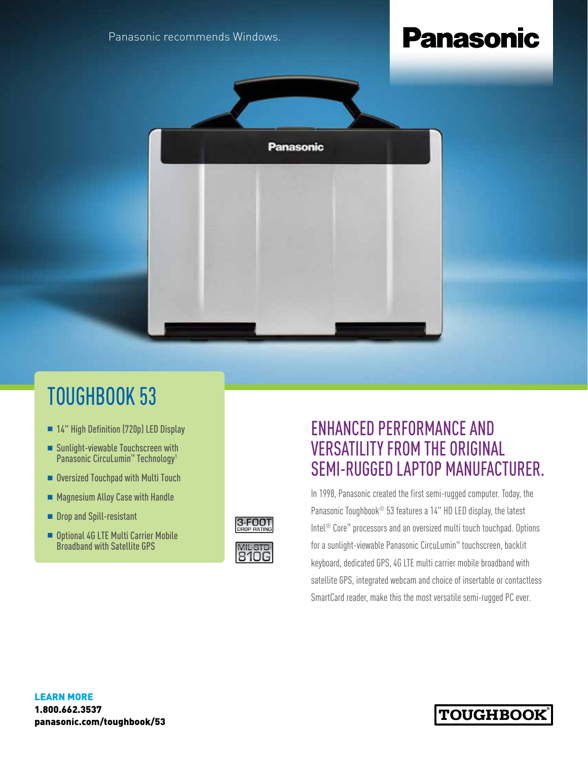Panasonic recommends Windows.

# **Panasonic**



## TOUGHBOOK 53

- 14" High Definition (720p) LED Display
- Sunlight-viewable Touchscreen with Panasonic CircuLumin<sup>™</sup> Technology<sup>1</sup>
- Oversized Touchpad with Multi Touch
- Magnesium Alloy Case with Handle
- **n** Drop and Spill-resistant
- Optional 4G LTE Multi Carrier Mobile Broadband with Satellite GPS



### ENHANCED PERFORMANCE AND VERSATILITY FROM THE ORIGINAL SEMI-RUGGED LAPTOP MANUFACTURER.

In 1998, Panasonic created the first semi-rugged computer. Today, the Panasonic Toughbook® 53 features a 14" HD LED display, the latest Intel® Core™ processors and an oversized multi touch touchpad. Options for a sunlight-viewable Panasonic CircuLumin™ touchscreen, backlit keyboard, dedicated GPS, 4G LTE multi carrier mobile broadband with satellite GPS, integrated webcam and choice of insertable or contactless SmartCard reader, make this the most versatile semi-rugged PC ever.

### **TOUGHBOOK**